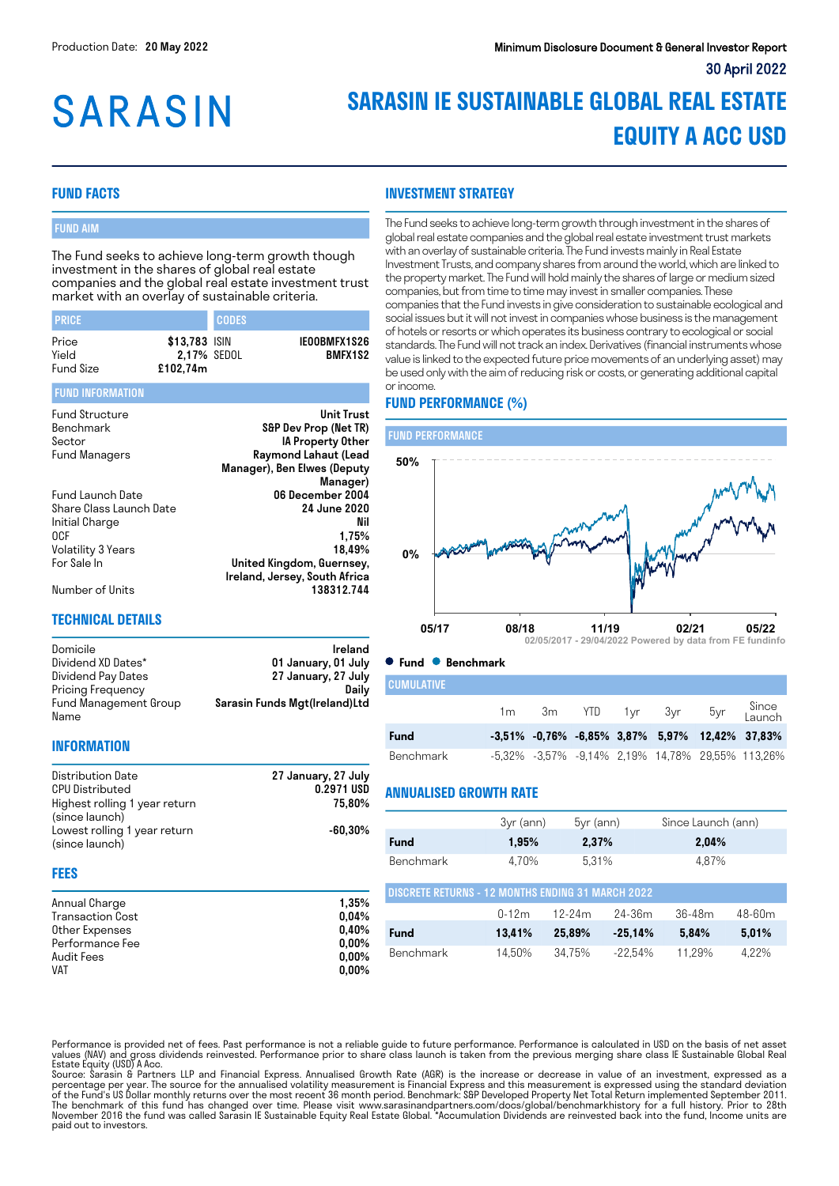# **SARASIN**

## **SARASIN IE SUSTAINABLE GLOBAL REAL ESTATE EQUITY A ACC USD**

#### **FUND FACTS**

#### FUND AIM

The Fund seeks to achieve long-term growth though investment in the shares of global real estate companies and the global real estate investment trust market with an overlay of sustainable criteria.

| <b>PRICE</b>     |                              | <b>CODES</b> |                                |
|------------------|------------------------------|--------------|--------------------------------|
| Price<br>Yield   | \$13,783 ISIN<br>2.17% SEDOL |              | IEOOBMFX1S26<br><b>BMFX1S2</b> |
| <b>Fund Size</b> | £102.74m                     |              |                                |

#### FUND INFORMATION

| <b>Fund Structure</b>   | Unit Trust                    |
|-------------------------|-------------------------------|
| Benchmark               | S&P Dev Prop (Net TR)         |
| Sector                  | IA Property Other             |
| Fund Managers           | Raymond Lahaut (Lead          |
|                         | Manager), Ben Elwes (Deputy   |
|                         | Manager)                      |
| <b>Fund Launch Date</b> | 06 December 2004              |
| Share Class Launch Date | <b>24 June 2020</b>           |
| Initial Charge          | Nil                           |
| 0CF                     | 1.75%                         |
| Volatility 3 Years      | 18.49%                        |
| For Sale In             | United Kingdom, Guernsey,     |
|                         | Ireland, Jersey, South Africa |
| Number of Units         | 138312.744                    |

#### **TECHNICAL DETAILS**

Domicile **Ireland** Dividend XD Dates\* 01 January, 01 July<br>Dividend Pay Dates 27 January, 27 July 27 January, 27 July<br>Daily Pricing Frequency Fund Management Group Name Sarasin Funds Mgt(Ireland)Ltd

#### **INFORMATION**

| Distribution Date             | 27 January, 27 July |
|-------------------------------|---------------------|
| <b>CPU Distributed</b>        | 0.2971 USD          |
| Highest rolling 1 year return | 75.80%              |
| (since launch)                |                     |
| Lowest rolling 1 year return  | $-60.30\%$          |
| (since launch)                |                     |

#### **FEES**

| Annual Charge           | 1.35%    |
|-------------------------|----------|
| <b>Transaction Cost</b> | 0.04%    |
| Other Expenses          | 0.40%    |
| Performance Fee         | $0.00\%$ |
| Audit Fees              | $0.00\%$ |
| VAT                     | $0.00\%$ |

**INVESTMENT STRATEGY**

The Fund seeks to achieve long-term growth through investment in the shares of global real estate companies and the global real estate investment trust markets with an overlay of sustainable criteria. The Fund invests mainly in Real Estate Investment Trusts, and company shares from around the world, which are linked to the property market. The Fund will hold mainly the shares of large or medium sized companies, but from time to time may invest in smaller companies. These companies that the Fund invests in give consideration to sustainable ecological and social issues but it will not invest in companies whose business is the management of hotels or resorts or which operates its business contrary to ecological or social standards. The Fund will not track an index. Derivatives (financial instruments whose value is linked to the expected future price movements of an underlying asset) may be used only with the aim of reducing risk or costs, or generating additional capital or income.

### **FUND PERFORMANCE (%)**



#### **Fund Benchmark**

| <b>CUMULATIVE</b> |                |  |                |     |                                                                     |
|-------------------|----------------|--|----------------|-----|---------------------------------------------------------------------|
|                   | 1 <sub>m</sub> |  | 3m YTD 1yr 3yr | 5yr | Since<br>Launch                                                     |
| Fund              |                |  |                |     | $-3.51\%$ $-0.76\%$ $-6.85\%$ $3.87\%$ $5.97\%$ $12.42\%$ $37.83\%$ |
| Benchmark         |                |  |                |     | -5.32% -3.57% -9.14% 2.19% 14.78% 29.55% 113.26%                    |

#### **ANNUALISED GROWTH RATE**

|                                                   | 3yr (ann) | $5yr$ (ann) | Since Launch (ann) |
|---------------------------------------------------|-----------|-------------|--------------------|
| <b>Fund</b>                                       | 1.95%     | 2,37%       | 2.04%              |
| Benchmark                                         | 4.70%     | 5.31%       | 4.87%              |
| DISCRETE RETURNS - 12 MONTHS ENDING 31 MARCH 2022 |           |             |                    |

| I DISURETE RETURNS - TZ MUNTHS ENDING 3T MARUH ZUZZ. |         |        |            |        |        |  |
|------------------------------------------------------|---------|--------|------------|--------|--------|--|
|                                                      | $0-12m$ | 12-24m | 24-36m     | 36-48m | 48-60m |  |
| Fund                                                 | 13.41%  | 25.89% | $-25.14\%$ | 5.84%  | 5.01%  |  |
| Benchmark                                            | 1450%   | 34.75% | -22.54%    | 11.29% | 4.22%  |  |

Performance is provided net of fees. Past performance is not a reliable guide to future performance. Performance is calculated in USD on the basis of net asset values (NAV) and gross dividends reinvested. Performance prior to share class launch is taken from the previous merging share class IE Sustainable Global Real<br>Estate Equity (USD) A Acc.

Source: Sarasin & Partners LLP and Financial Express. Annualised Growth Rate (AGR) is the increase or decrease in value of an investment, expressed as a percentage per year. The source for the annualised volatility measurement is Financial Express and this measurement is expressed using the standard deviation<br>of the Fund's US Dollar monthly returns over the most recent 36 The benchmark of this fund has changed over time. Please visit www.sarasinandpartners.com/docs/global/benchmarkhistory for a full history. Prior to 28th<br>November 2016 the fund was called Sarasin IE Sustainable Equity Real paid out to investors.